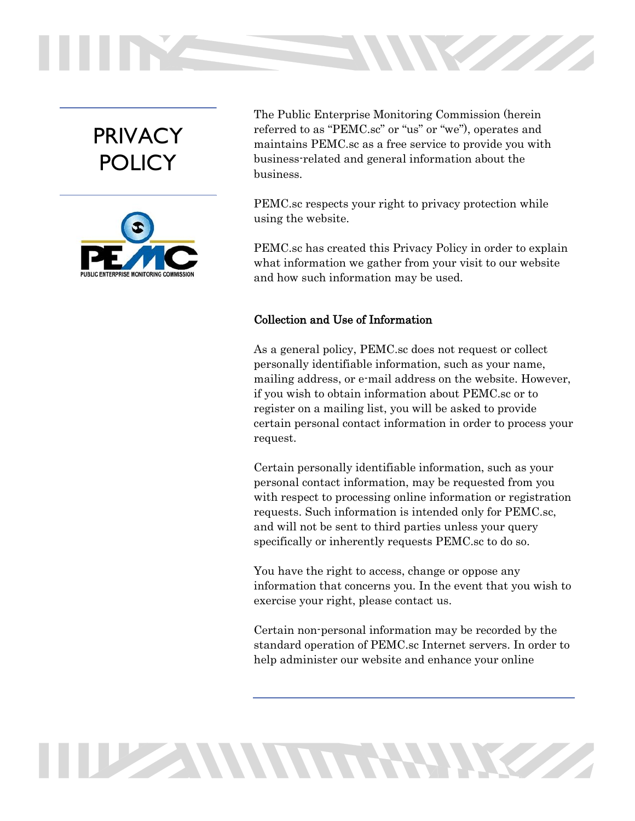# PRIVACY POLICY



The Public Enterprise Monitoring Commission (herein referred to as "PEMC.sc" or "us" or "we"), operates and maintains PEMC.sc as a free service to provide you with business-related and general information about the business.

**STATISTICS** 

PEMC.sc respects your right to privacy protection while using the website.

PEMC.sc has created this Privacy Policy in order to explain what information we gather from your visit to our website and how such information may be used.

## Collection and Use of Information

**THE SUMMIT RATINGS** 

As a general policy, PEMC.sc does not request or collect personally identifiable information, such as your name, mailing address, or e-mail address on the website. However, if you wish to obtain information about PEMC.sc or to register on a mailing list, you will be asked to provide certain personal contact information in order to process your request.

Certain personally identifiable information, such as your personal contact information, may be requested from you with respect to processing online information or registration requests. Such information is intended only for PEMC.sc, and will not be sent to third parties unless your query specifically or inherently requests PEMC.sc to do so.

You have the right to access, change or oppose any information that concerns you. In the event that you wish to exercise your right, please contact us.

Certain non-personal information may be recorded by the standard operation of PEMC.sc Internet servers. In order to help administer our website and enhance your online